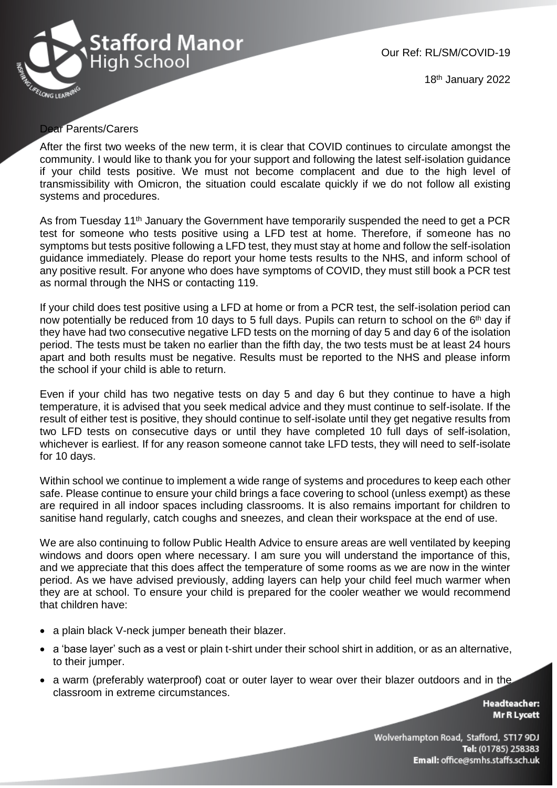

Our Ref: RL/SM/COVID-19

18 th January 2022

## Dear Parents/Carers

After the first two weeks of the new term, it is clear that COVID continues to circulate amongst the community. I would like to thank you for your support and following the latest self-isolation guidance if your child tests positive. We must not become complacent and due to the high level of transmissibility with Omicron, the situation could escalate quickly if we do not follow all existing systems and procedures.

As from Tuesday 11<sup>th</sup> January the Government have temporarily suspended the need to get a PCR test for someone who tests positive using a LFD test at home. Therefore, if someone has no symptoms but tests positive following a LFD test, they must stay at home and follow the self-isolation guidance immediately. Please do report your home tests results to the NHS, and inform school of any positive result. For anyone who does have symptoms of COVID, they must still book a PCR test as normal through the NHS or contacting 119.

If your child does test positive using a LFD at home or from a PCR test, the self-isolation period can now potentially be reduced from 10 days to 5 full days. Pupils can return to school on the 6<sup>th</sup> day if they have had two consecutive negative LFD tests on the morning of day 5 and day 6 of the isolation period. The tests must be taken no earlier than the fifth day, the two tests must be at least 24 hours apart and both results must be negative. Results must be reported to the NHS and please inform the school if your child is able to return.

Even if your child has two negative tests on day 5 and day 6 but they continue to have a high temperature, it is advised that you seek medical advice and they must continue to self-isolate. If the result of either test is positive, they should continue to self-isolate until they get negative results from two LFD tests on consecutive days or until they have completed 10 full days of self-isolation, whichever is earliest. If for any reason someone cannot take LFD tests, they will need to self-isolate for 10 days.

Within school we continue to implement a wide range of systems and procedures to keep each other safe. Please continue to ensure your child brings a face covering to school (unless exempt) as these are required in all indoor spaces including classrooms. It is also remains important for children to sanitise hand regularly, catch coughs and sneezes, and clean their workspace at the end of use.

We are also continuing to follow Public Health Advice to ensure areas are well ventilated by keeping windows and doors open where necessary. I am sure you will understand the importance of this, and we appreciate that this does affect the temperature of some rooms as we are now in the winter period. As we have advised previously, adding layers can help your child feel much warmer when they are at school. To ensure your child is prepared for the cooler weather we would recommend that children have:

- a plain black V-neck jumper beneath their blazer.
- a 'base layer' such as a vest or plain t-shirt under their school shirt in addition, or as an alternative, to their jumper.
- a warm (preferably waterproof) coat or outer layer to wear over their blazer outdoors and in the classroom in extreme circumstances.

**Headteacher: Mr R Lycett** 

Wolverhampton Road, Stafford, ST17 9DJ Tel: (01785) 258383 Email: office@smhs.staffs.sch.uk